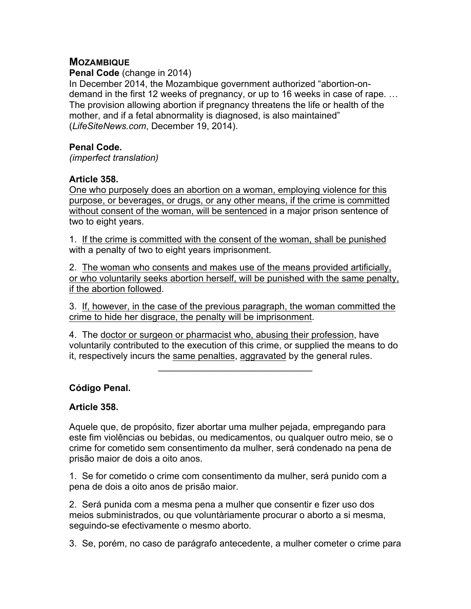# **MOZAMBIQUE**

**Penal Code** (change in 2014)

In December 2014, the Mozambique government authorized "abortion-ondemand in the first 12 weeks of pregnancy, or up to 16 weeks in case of rape. … The provision allowing abortion if pregnancy threatens the life or health of the mother, and if a fetal abnormality is diagnosed, is also maintained" (*LifeSiteNews.com*, December 19, 2014).

### **Penal Code.**

*(imperfect translation)*

### **Article 358.**

One who purposely does an abortion on a woman, employing violence for this purpose, or beverages, or drugs, or any other means, if the crime is committed without consent of the woman, will be sentenced in a major prison sentence of two to eight years.

1. If the crime is committed with the consent of the woman, shall be punished with a penalty of two to eight years imprisonment.

2. The woman who consents and makes use of the means provided artificially, or who voluntarily seeks abortion herself, will be punished with the same penalty, if the abortion followed.

3. If, however, in the case of the previous paragraph, the woman committed the crime to hide her disgrace, the penalty will be imprisonment.

4. The doctor or surgeon or pharmacist who, abusing their profession, have voluntarily contributed to the execution of this crime, or supplied the means to do it, respectively incurs the same penalties, aggravated by the general rules.

 $\mathcal{L}_\text{max}$  and  $\mathcal{L}_\text{max}$  and  $\mathcal{L}_\text{max}$ 

## **Código Penal.**

## **Article 358.**

Aquele que, de propósito, fizer abortar uma mulher pejada, empregando para este fim violências ou bebidas, ou medicamentos, ou qualquer outro meio, se o crime for cometido sem consentimento da mulher, será condenado na pena de prisão maior de dois a oito anos.

1. Se for cometido o crime com consentimento da mulher, será punido com a pena de dois a oito anos de prisão maior.

2. Será punida com a mesma pena a mulher que consentir e fizer uso dos meios subministrados, ou que voluntàriamente procurar o aborto a si mesma, seguindo-se efectivamente o mesmo aborto.

3. Se, porém, no caso de parágrafo antecedente, a mulher cometer o crime para